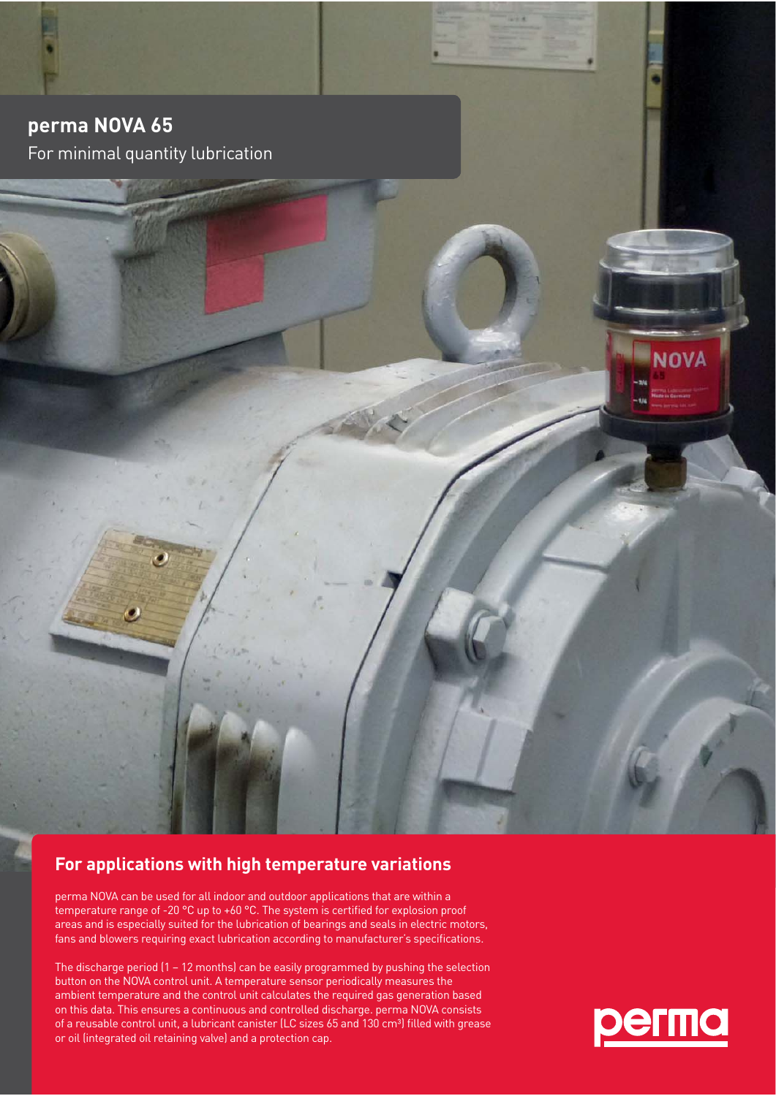**perma NOVA 65**  For minimal quantity lubrication

## **For applications with high temperature variations**

perma NOVA can be used for all indoor and outdoor applications that are within a temperature range of -20 °C up to +60 °C. The system is certified for explosion proof areas and is especially suited for the lubrication of bearings and seals in electric motors, fans and blowers requiring exact lubrication according to manufacturer's specifications.

The discharge period (1 – 12 months) can be easily programmed by pushing the selection button on the NOVA control unit. A temperature sensor periodically measures the ambient temperature and the control unit calculates the required gas generation based on this data. This ensures a continuous and controlled discharge. perma NOVA consists of a reusable control unit, a lubricant canister (LC sizes 65 and 130 cm<sup>3</sup>) filled with grease or oil (integrated oil retaining valve) and a protection cap.



**NOVA**